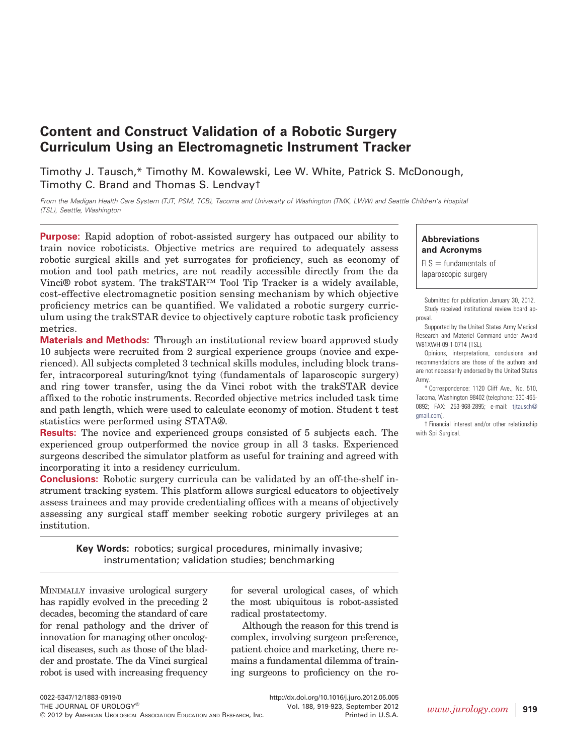# **Content and Construct Validation of a Robotic Surgery Curriculum Using an Electromagnetic Instrument Tracker**

Timothy J. Tausch,\* Timothy M. Kowalewski, Lee W. White, Patrick S. McDonough, Timothy C. Brand and Thomas S. Lendvay†

*From the Madigan Health Care System (TJT, PSM, TCB), Tacoma and University of Washington (TMK, LWW) and Seattle Children's Hospital (TSL), Seattle, Washington*

**Purpose:** Rapid adoption of robot-assisted surgery has outpaced our ability to train novice roboticists. Objective metrics are required to adequately assess robotic surgical skills and yet surrogates for proficiency, such as economy of motion and tool path metrics, are not readily accessible directly from the da Vinci® robot system. The trakSTAR™ Tool Tip Tracker is a widely available, cost-effective electromagnetic position sensing mechanism by which objective proficiency metrics can be quantified. We validated a robotic surgery curriculum using the trakSTAR device to objectively capture robotic task proficiency metrics.

**Materials and Methods:** Through an institutional review board approved study 10 subjects were recruited from 2 surgical experience groups (novice and experienced). All subjects completed 3 technical skills modules, including block transfer, intracorporeal suturing/knot tying (fundamentals of laparoscopic surgery) and ring tower transfer, using the da Vinci robot with the trakSTAR device affixed to the robotic instruments. Recorded objective metrics included task time and path length, which were used to calculate economy of motion. Student t test statistics were performed using STATA®.

**Results:** The novice and experienced groups consisted of 5 subjects each. The experienced group outperformed the novice group in all 3 tasks. Experienced surgeons described the simulator platform as useful for training and agreed with incorporating it into a residency curriculum.

**Conclusions:** Robotic surgery curricula can be validated by an off-the-shelf instrument tracking system. This platform allows surgical educators to objectively assess trainees and may provide credentialing offices with a means of objectively assessing any surgical staff member seeking robotic surgery privileges at an institution.

> **Key Words:** robotics; surgical procedures, minimally invasive; instrumentation; validation studies; benchmarking

MINIMALLY invasive urological surgery has rapidly evolved in the preceding 2 decades, becoming the standard of care for renal pathology and the driver of innovation for managing other oncological diseases, such as those of the bladder and prostate. The da Vinci surgical robot is used with increasing frequency

for several urological cases, of which the most ubiquitous is robot-assisted radical prostatectomy.

Although the reason for this trend is complex, involving surgeon preference, patient choice and marketing, there remains a fundamental dilemma of training surgeons to proficiency on the ro-

**Abbreviations and Acronyms**

 $FLS =$  fundamentals of laparoscopic surgery

Submitted for publication January 30, 2012. Study received institutional review board approval.

Supported by the United States Army Medical Research and Materiel Command under Award W81XWH-09-1-0714 (TSL).

Opinions, interpretations, conclusions and recommendations are those of the authors and are not necessarily endorsed by the United States Army.

\* Correspondence: 1120 Cliff Ave., No. 510, Tacoma, Washington 98402 (telephone: 330-465- 0892; FAX: 253-968-2895; e-mail: [tjtausch@](mailto:tjtausch@gmail.com) [gmail.com\)](mailto:tjtausch@gmail.com).

† Financial interest and/or other relationship with Spi Surgical.

Vol. 188, 919-923, September 2012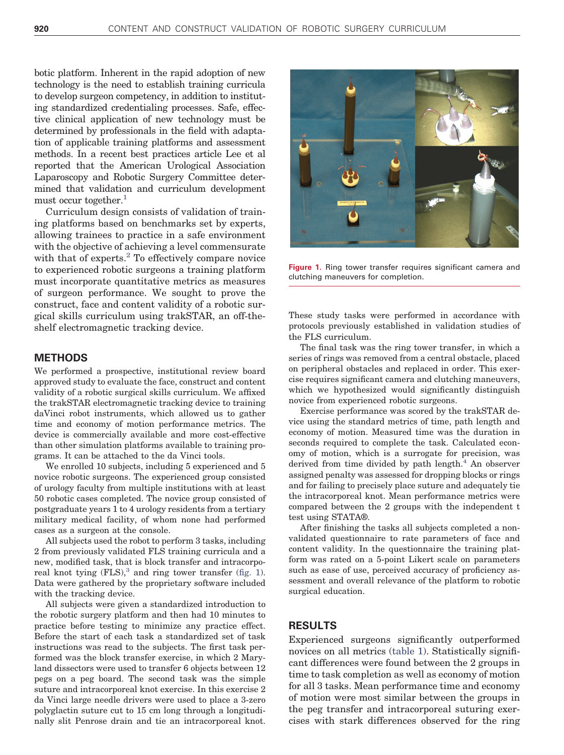botic platform. Inherent in the rapid adoption of new technology is the need to establish training curricula to develop surgeon competency, in addition to instituting standardized credentialing processes. Safe, effective clinical application of new technology must be determined by professionals in the field with adaptation of applicable training platforms and assessment methods. In a recent best practices article Lee et al reported that the American Urological Association Laparoscopy and Robotic Surgery Committee determined that validation and curriculum development must occur together.<sup>1</sup>

Curriculum design consists of validation of training platforms based on benchmarks set by experts, allowing trainees to practice in a safe environment with the objective of achieving a level commensurate with that of experts.<sup>[2](#page-4-1)</sup> To effectively compare novice to experienced robotic surgeons a training platform must incorporate quantitative metrics as measures of surgeon performance. We sought to prove the construct, face and content validity of a robotic surgical skills curriculum using trakSTAR, an off-theshelf electromagnetic tracking device.

## **METHODS**

We performed a prospective, institutional review board approved study to evaluate the face, construct and content validity of a robotic surgical skills curriculum. We affixed the trakSTAR electromagnetic tracking device to training daVinci robot instruments, which allowed us to gather time and economy of motion performance metrics. The device is commercially available and more cost-effective than other simulation platforms available to training programs. It can be attached to the da Vinci tools.

We enrolled 10 subjects, including 5 experienced and 5 novice robotic surgeons. The experienced group consisted of urology faculty from multiple institutions with at least 50 robotic cases completed. The novice group consisted of postgraduate years 1 to 4 urology residents from a tertiary military medical facility, of whom none had performed cases as a surgeon at the console.

All subjects used the robot to perform 3 tasks, including 2 from previously validated FLS training curricula and a new, modified task, that is block transfer and intracorporeal knot tying  $(FLS)$ ,<sup>3</sup> and ring tower transfer [\(fig. 1\)](#page-1-0). Data were gathered by the proprietary software included with the tracking device.

All subjects were given a standardized introduction to the robotic surgery platform and then had 10 minutes to practice before testing to minimize any practice effect. Before the start of each task a standardized set of task instructions was read to the subjects. The first task performed was the block transfer exercise, in which 2 Maryland dissectors were used to transfer 6 objects between 12 pegs on a peg board. The second task was the simple suture and intracorporeal knot exercise. In this exercise 2 da Vinci large needle drivers were used to place a 3-zero polyglactin suture cut to 15 cm long through a longitudinally slit Penrose drain and tie an intracorporeal knot.



**Figure 1.** Ring tower transfer requires significant camera and clutching maneuvers for completion.

<span id="page-1-0"></span>These study tasks were performed in accordance with protocols previously established in validation studies of the FLS curriculum.

The final task was the ring tower transfer, in which a series of rings was removed from a central obstacle, placed on peripheral obstacles and replaced in order. This exercise requires significant camera and clutching maneuvers, which we hypothesized would significantly distinguish novice from experienced robotic surgeons.

Exercise performance was scored by the trakSTAR device using the standard metrics of time, path length and economy of motion. Measured time was the duration in seconds required to complete the task. Calculated economy of motion, which is a surrogate for precision, was derived from time divided by path length.<sup>4</sup> An observer assigned penalty was assessed for dropping blocks or rings and for failing to precisely place suture and adequately tie the intracorporeal knot. Mean performance metrics were compared between the 2 groups with the independent t test using STATA®.

After finishing the tasks all subjects completed a nonvalidated questionnaire to rate parameters of face and content validity. In the questionnaire the training platform was rated on a 5-point Likert scale on parameters such as ease of use, perceived accuracy of proficiency assessment and overall relevance of the platform to robotic surgical education.

### **RESULTS**

Experienced surgeons significantly outperformed novices on all metrics [\(table 1\)](#page-2-0). Statistically significant differences were found between the 2 groups in time to task completion as well as economy of motion for all 3 tasks. Mean performance time and economy of motion were most similar between the groups in the peg transfer and intracorporeal suturing exercises with stark differences observed for the ring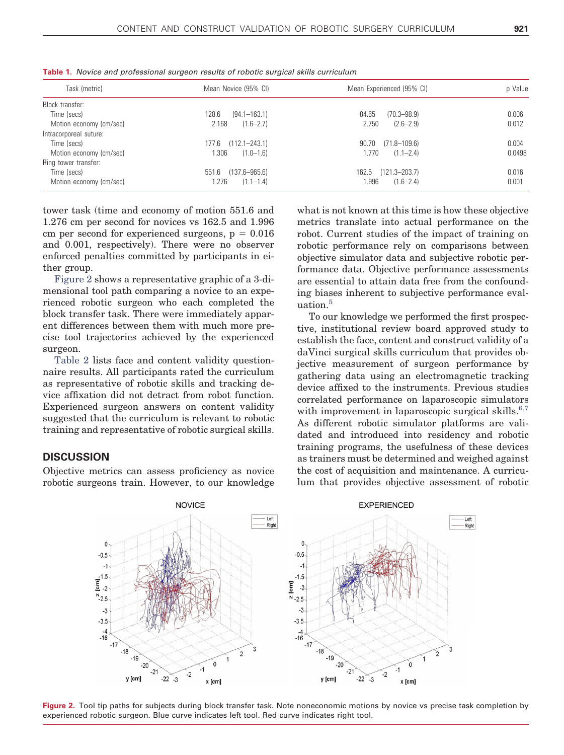| Task (metric)           | Mean Novice (95% CI)       | Mean Experienced (95% CI)  | p Value |
|-------------------------|----------------------------|----------------------------|---------|
| Block transfer:         |                            |                            |         |
| Time (secs)             | 128.6<br>$(94.1 - 163.1)$  | 84.65<br>$(70.3 - 98.9)$   | 0.006   |
| Motion economy (cm/sec) | 2.168<br>$(1.6 - 2.7)$     | $(2.6 - 2.9)$<br>2.750     | 0.012   |
| Intracorporeal suture:  |                            |                            |         |
| Time (secs)             | $(112.1 - 243.1)$<br>177.6 | $(71.8 - 109.6)$<br>90.70  | 0.004   |
| Motion economy (cm/sec) | 1.306<br>$(1.0 - 1.6)$     | $(1.1 - 2.4)$<br>1.770     | 0.0498  |
| Ring tower transfer:    |                            |                            |         |
| Time (secs)             | $(137.6 - 965.6)$<br>551.6 | 162.5<br>$(121.3 - 203.7)$ | 0.016   |
| Motion economy (cm/sec) | 1.276<br>$(1.1 - 1.4)$     | 1.996<br>$(1.6 - 2.4)$     | 0.001   |

<span id="page-2-0"></span>**Table 1.** *Novice and professional surgeon results of robotic surgical skills curriculum*

tower task (time and economy of motion 551.6 and 1.276 cm per second for novices vs 162.5 and 1.996 cm per second for experienced surgeons,  $p = 0.016$ and 0.001, respectively). There were no observer enforced penalties committed by participants in either group.

[Figure 2](#page-2-1) shows a representative graphic of a 3-dimensional tool path comparing a novice to an experienced robotic surgeon who each completed the block transfer task. There were immediately apparent differences between them with much more precise tool trajectories achieved by the experienced surgeon.

[Table 2](#page-3-0) lists face and content validity questionnaire results. All participants rated the curriculum as representative of robotic skills and tracking device affixation did not detract from robot function. Experienced surgeon answers on content validity suggested that the curriculum is relevant to robotic training and representative of robotic surgical skills.

## **DISCUSSION**

Objective metrics can assess proficiency as novice robotic surgeons train. However, to our knowledge what is not known at this time is how these objective metrics translate into actual performance on the robot. Current studies of the impact of training on robotic performance rely on comparisons between objective simulator data and subjective robotic performance data. Objective performance assessments are essential to attain data free from the confounding biases inherent to subjective performance eval-uation.<sup>[5](#page-4-4)</sup>

To our knowledge we performed the first prospective, institutional review board approved study to establish the face, content and construct validity of a daVinci surgical skills curriculum that provides objective measurement of surgeon performance by gathering data using an electromagnetic tracking device affixed to the instruments. Previous studies correlated performance on laparoscopic simulators with improvement in laparoscopic surgical skills. $6,7$ As different robotic simulator platforms are validated and introduced into residency and robotic training programs, the usefulness of these devices as trainers must be determined and weighed against the cost of acquisition and maintenance. A curriculum that provides objective assessment of robotic



<span id="page-2-1"></span>Figure 2. Tool tip paths for subjects during block transfer task. Note noneconomic motions by novice vs precise task completion by experienced robotic surgeon. Blue curve indicates left tool. Red curve indicates right tool.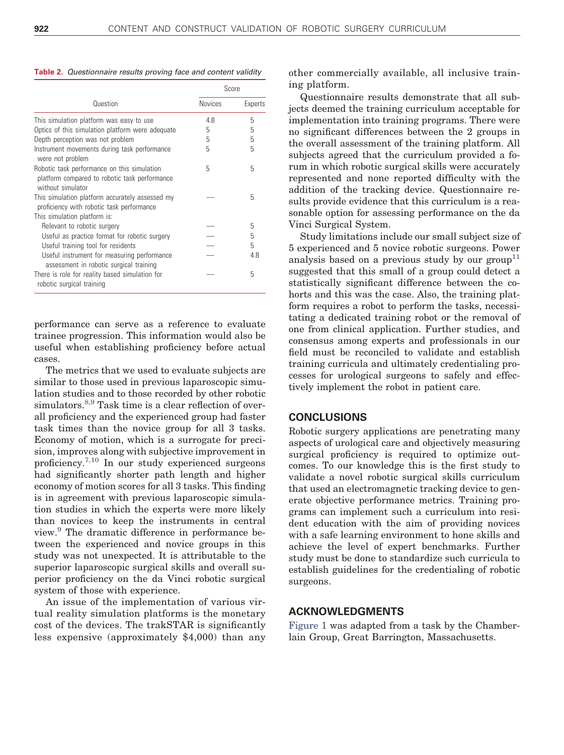<span id="page-3-0"></span>**Table 2.** *Questionnaire results proving face and content validity*

|                                                                                                                   | Score          |         |
|-------------------------------------------------------------------------------------------------------------------|----------------|---------|
| Question                                                                                                          | <b>Novices</b> | Experts |
| This simulation platform was easy to use                                                                          | 48             | 5       |
| Optics of this simulation platform were adequate                                                                  | 5              | 5       |
| Depth perception was not problem                                                                                  | 5              | 5       |
| Instrument movements during task performance<br>were not problem                                                  | 5              | 5       |
| Robotic task performance on this simulation<br>platform compared to robotic task performance<br>without simulator | 5              | 5       |
| This simulation platform accurately assessed my<br>proficiency with robotic task performance                      |                | 5       |
| This simulation platform is:                                                                                      |                |         |
| Relevant to robotic surgery                                                                                       |                | 5       |
| Useful as practice format for robotic surgery                                                                     |                | 5       |
| Useful training tool for residents                                                                                |                | 5       |
| Useful instrument for measuring performance<br>assessment in robotic surgical training                            |                | 4.8     |
| There is role for reality based simulation for<br>robotic surgical training                                       |                | 5       |

performance can serve as a reference to evaluate trainee progression. This information would also be useful when establishing proficiency before actual cases.

The metrics that we used to evaluate subjects are similar to those used in previous laparoscopic simulation studies and to those recorded by other robotic simulators.<sup>[8,9](#page-4-6)</sup> Task time is a clear reflection of overall proficiency and the experienced group had faster task times than the novice group for all 3 tasks. Economy of motion, which is a surrogate for precision, improves along with subjective improvement in proficiency.[7,10](#page-4-7) In our study experienced surgeons had significantly shorter path length and higher economy of motion scores for all 3 tasks. This finding is in agreement with previous laparoscopic simulation studies in which the experts were more likely than novices to keep the instruments in central view.[9](#page-4-8) The dramatic difference in performance between the experienced and novice groups in this study was not unexpected. It is attributable to the superior laparoscopic surgical skills and overall superior proficiency on the da Vinci robotic surgical system of those with experience.

An issue of the implementation of various virtual reality simulation platforms is the monetary cost of the devices. The trakSTAR is significantly less expensive (approximately \$4,000) than any

other commercially available, all inclusive training platform.

Questionnaire results demonstrate that all subjects deemed the training curriculum acceptable for implementation into training programs. There were no significant differences between the 2 groups in the overall assessment of the training platform. All subjects agreed that the curriculum provided a forum in which robotic surgical skills were accurately represented and none reported difficulty with the addition of the tracking device. Questionnaire results provide evidence that this curriculum is a reasonable option for assessing performance on the da Vinci Surgical System.

Study limitations include our small subject size of 5 experienced and 5 novice robotic surgeons. Power analysis based on a previous study by our group<sup>11</sup> suggested that this small of a group could detect a statistically significant difference between the cohorts and this was the case. Also, the training platform requires a robot to perform the tasks, necessitating a dedicated training robot or the removal of one from clinical application. Further studies, and consensus among experts and professionals in our field must be reconciled to validate and establish training curricula and ultimately credentialing processes for urological surgeons to safely and effectively implement the robot in patient care.

#### **CONCLUSIONS**

Robotic surgery applications are penetrating many aspects of urological care and objectively measuring surgical proficiency is required to optimize outcomes. To our knowledge this is the first study to validate a novel robotic surgical skills curriculum that used an electromagnetic tracking device to generate objective performance metrics. Training programs can implement such a curriculum into resident education with the aim of providing novices with a safe learning environment to hone skills and achieve the level of expert benchmarks. Further study must be done to standardize such curricula to establish guidelines for the credentialing of robotic surgeons.

### **ACKNOWLEDGMENTS**

[Figure 1](#page-1-0) was adapted from a task by the Chamberlain Group, Great Barrington, Massachusetts.